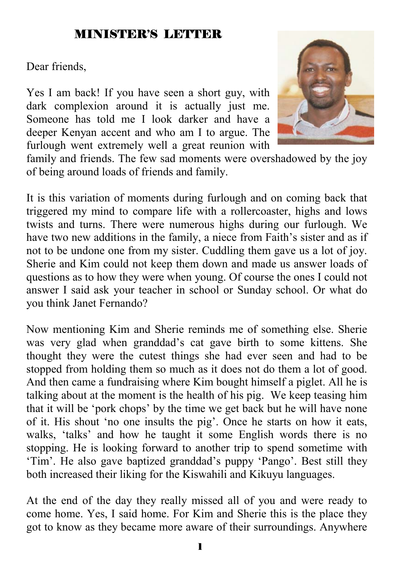### MINISTER'S LETTER

Dear friends,

Yes I am back! If you have seen a short guy, with dark complexion around it is actually just me. Someone has told me I look darker and have a deeper Kenyan accent and who am I to argue. The furlough went extremely well a great reunion with



family and friends. The few sad moments were overshadowed by the joy of being around loads of friends and family.

It is this variation of moments during furlough and on coming back that triggered my mind to compare life with a rollercoaster, highs and lows twists and turns. There were numerous highs during our furlough. We have two new additions in the family, a niece from Faith's sister and as if not to be undone one from my sister. Cuddling them gave us a lot of joy. Sherie and Kim could not keep them down and made us answer loads of questions as to how they were when young. Of course the ones I could not answer I said ask your teacher in school or Sunday school. Or what do you think Janet Fernando?

Now mentioning Kim and Sherie reminds me of something else. Sherie was very glad when granddad's cat gave birth to some kittens. She thought they were the cutest things she had ever seen and had to be stopped from holding them so much as it does not do them a lot of good. And then came a fundraising where Kim bought himself a piglet. All he is talking about at the moment is the health of his pig. We keep teasing him that it will be 'pork chops' by the time we get back but he will have none of it. His shout 'no one insults the pig'. Once he starts on how it eats, walks, 'talks' and how he taught it some English words there is no stopping. He is looking forward to another trip to spend sometime with 'Tim'. He also gave baptized granddad's puppy 'Pango'. Best still they both increased their liking for the Kiswahili and Kikuyu languages.

At the end of the day they really missed all of you and were ready to come home. Yes, I said home. For Kim and Sherie this is the place they got to know as they became more aware of their surroundings. Anywhere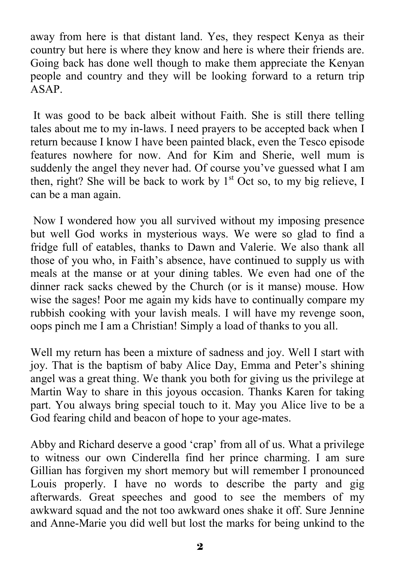away from here is that distant land. Yes, they respect Kenya as their country but here is where they know and here is where their friends are. Going back has done well though to make them appreciate the Kenyan people and country and they will be looking forward to a return trip ASAP.

 It was good to be back albeit without Faith. She is still there telling tales about me to my in-laws. I need prayers to be accepted back when I return because I know I have been painted black, even the Tesco episode features nowhere for now. And for Kim and Sherie, well mum is suddenly the angel they never had. Of course you've guessed what I am then, right? She will be back to work by  $1<sup>st</sup>$  Oct so, to my big relieve, I can be a man again.

 Now I wondered how you all survived without my imposing presence but well God works in mysterious ways. We were so glad to find a fridge full of eatables, thanks to Dawn and Valerie. We also thank all those of you who, in Faith's absence, have continued to supply us with meals at the manse or at your dining tables. We even had one of the dinner rack sacks chewed by the Church (or is it manse) mouse. How wise the sages! Poor me again my kids have to continually compare my rubbish cooking with your lavish meals. I will have my revenge soon, oops pinch me I am a Christian! Simply a load of thanks to you all.

Well my return has been a mixture of sadness and joy. Well I start with joy. That is the baptism of baby Alice Day, Emma and Peter's shining angel was a great thing. We thank you both for giving us the privilege at Martin Way to share in this joyous occasion. Thanks Karen for taking part. You always bring special touch to it. May you Alice live to be a God fearing child and beacon of hope to your age-mates.

Abby and Richard deserve a good 'crap' from all of us. What a privilege to witness our own Cinderella find her prince charming. I am sure Gillian has forgiven my short memory but will remember I pronounced Louis properly. I have no words to describe the party and gig afterwards. Great speeches and good to see the members of my awkward squad and the not too awkward ones shake it off. Sure Jennine and Anne-Marie you did well but lost the marks for being unkind to the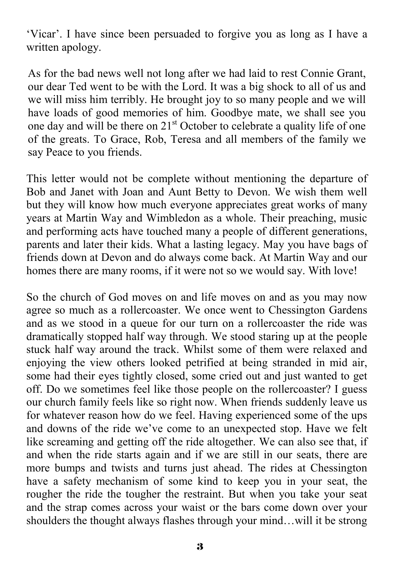'Vicar'. I have since been persuaded to forgive you as long as I have a written apology.

As for the bad news well not long after we had laid to rest Connie Grant, our dear Ted went to be with the Lord. It was a big shock to all of us and we will miss him terribly. He brought joy to so many people and we will have loads of good memories of him. Goodbye mate, we shall see you one day and will be there on  $21<sup>st</sup>$  October to celebrate a quality life of one of the greats. To Grace, Rob, Teresa and all members of the family we say Peace to you friends.

This letter would not be complete without mentioning the departure of Bob and Janet with Joan and Aunt Betty to Devon. We wish them well but they will know how much everyone appreciates great works of many years at Martin Way and Wimbledon as a whole. Their preaching, music and performing acts have touched many a people of different generations, parents and later their kids. What a lasting legacy. May you have bags of friends down at Devon and do always come back. At Martin Way and our homes there are many rooms, if it were not so we would say. With love!

So the church of God moves on and life moves on and as you may now agree so much as a rollercoaster. We once went to Chessington Gardens and as we stood in a queue for our turn on a rollercoaster the ride was dramatically stopped half way through. We stood staring up at the people stuck half way around the track. Whilst some of them were relaxed and enjoying the view others looked petrified at being stranded in mid air, some had their eyes tightly closed, some cried out and just wanted to get off. Do we sometimes feel like those people on the rollercoaster? I guess our church family feels like so right now. When friends suddenly leave us for whatever reason how do we feel. Having experienced some of the ups and downs of the ride we've come to an unexpected stop. Have we felt like screaming and getting off the ride altogether. We can also see that, if and when the ride starts again and if we are still in our seats, there are more bumps and twists and turns just ahead. The rides at Chessington have a safety mechanism of some kind to keep you in your seat, the rougher the ride the tougher the restraint. But when you take your seat and the strap comes across your waist or the bars come down over your shoulders the thought always flashes through your mind…will it be strong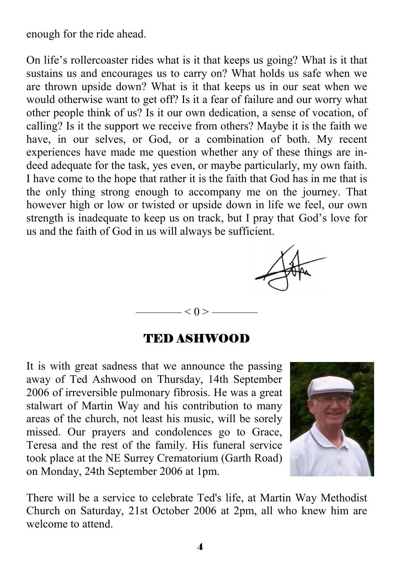enough for the ride ahead.

On life's rollercoaster rides what is it that keeps us going? What is it that sustains us and encourages us to carry on? What holds us safe when we are thrown upside down? What is it that keeps us in our seat when we would otherwise want to get off? Is it a fear of failure and our worry what other people think of us? Is it our own dedication, a sense of vocation, of calling? Is it the support we receive from others? Maybe it is the faith we have, in our selves, or God, or a combination of both. My recent experiences have made me question whether any of these things are indeed adequate for the task, yes even, or maybe particularly, my own faith. I have come to the hope that rather it is the faith that God has in me that is the only thing strong enough to accompany me on the journey. That however high or low or twisted or upside down in life we feel, our own strength is inadequate to keep us on track, but I pray that God's love for us and the faith of God in us will always be sufficient.



#### TED ASHWOOD

 $< 0 > -$ 

It is with great sadness that we announce the passing away of Ted Ashwood on Thursday, 14th September 2006 of irreversible pulmonary fibrosis. He was a great stalwart of Martin Way and his contribution to many areas of the church, not least his music, will be sorely missed. Our prayers and condolences go to Grace, Teresa and the rest of the family. His funeral service took place at the NE Surrey Crematorium (Garth Road) on Monday, 24th September 2006 at 1pm.



There will be a service to celebrate Ted's life, at Martin Way Methodist Church on Saturday, 21st October 2006 at 2pm, all who knew him are welcome to attend.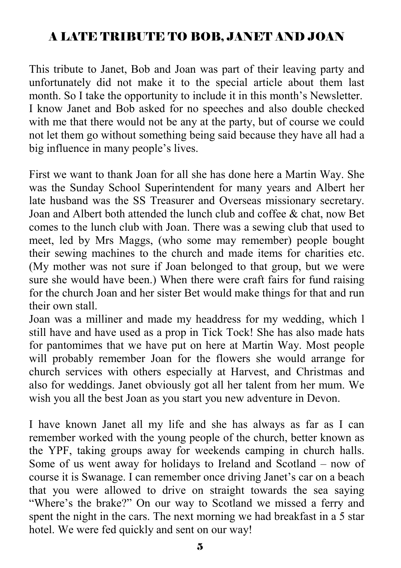# A LATE TRIBUTE TO BOB, JANET AND JOAN

This tribute to Janet, Bob and Joan was part of their leaving party and unfortunately did not make it to the special article about them last month. So I take the opportunity to include it in this month's Newsletter. I know Janet and Bob asked for no speeches and also double checked with me that there would not be any at the party, but of course we could not let them go without something being said because they have all had a big influence in many people's lives.

First we want to thank Joan for all she has done here a Martin Way. She was the Sunday School Superintendent for many years and Albert her late husband was the SS Treasurer and Overseas missionary secretary. Joan and Albert both attended the lunch club and coffee & chat, now Bet comes to the lunch club with Joan. There was a sewing club that used to meet, led by Mrs Maggs, (who some may remember) people bought their sewing machines to the church and made items for charities etc. (My mother was not sure if Joan belonged to that group, but we were sure she would have been.) When there were craft fairs for fund raising for the church Joan and her sister Bet would make things for that and run their own stall.

Joan was a milliner and made my headdress for my wedding, which l still have and have used as a prop in Tick Tock! She has also made hats for pantomimes that we have put on here at Martin Way. Most people will probably remember Joan for the flowers she would arrange for church services with others especially at Harvest, and Christmas and also for weddings. Janet obviously got all her talent from her mum. We wish you all the best Joan as you start you new adventure in Devon.

I have known Janet all my life and she has always as far as I can remember worked with the young people of the church, better known as the YPF, taking groups away for weekends camping in church halls. Some of us went away for holidays to Ireland and Scotland – now of course it is Swanage. I can remember once driving Janet's car on a beach that you were allowed to drive on straight towards the sea saying "Where's the brake?" On our way to Scotland we missed a ferry and spent the night in the cars. The next morning we had breakfast in a 5 star hotel. We were fed quickly and sent on our way!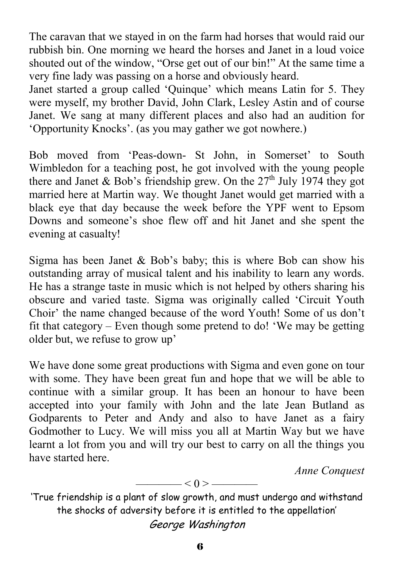The caravan that we stayed in on the farm had horses that would raid our rubbish bin. One morning we heard the horses and Janet in a loud voice shouted out of the window, "Orse get out of our bin!" At the same time a very fine lady was passing on a horse and obviously heard.

Janet started a group called 'Quinque' which means Latin for 5. They were myself, my brother David, John Clark, Lesley Astin and of course Janet. We sang at many different places and also had an audition for 'Opportunity Knocks'. (as you may gather we got nowhere.)

Bob moved from 'Peas-down- St John, in Somerset' to South Wimbledon for a teaching post, he got involved with the young people there and Janet & Bob's friendship grew. On the  $27<sup>th</sup>$  July 1974 they got married here at Martin way. We thought Janet would get married with a black eye that day because the week before the YPF went to Epsom Downs and someone's shoe flew off and hit Janet and she spent the evening at casualty!

Sigma has been Janet  $& Bob's baby$ ; this is where Bob can show his outstanding array of musical talent and his inability to learn any words. He has a strange taste in music which is not helped by others sharing his obscure and varied taste. Sigma was originally called 'Circuit Youth Choir' the name changed because of the word Youth! Some of us don't fit that category – Even though some pretend to do! 'We may be getting older but, we refuse to grow up'

We have done some great productions with Sigma and even gone on tour with some. They have been great fun and hope that we will be able to continue with a similar group. It has been an honour to have been accepted into your family with John and the late Jean Butland as Godparents to Peter and Andy and also to have Janet as a fairy Godmother to Lucy. We will miss you all at Martin Way but we have learnt a lot from you and will try our best to carry on all the things you have started here.

 *Anne Conquest* 

$$
\overbrace{\hspace{1.5cm}}<0>\overbrace{\hspace{1.5cm}}
$$

'True friendship is a plant of slow growth, and must undergo and withstand the shocks of adversity before it is entitled to the appellation' George Washington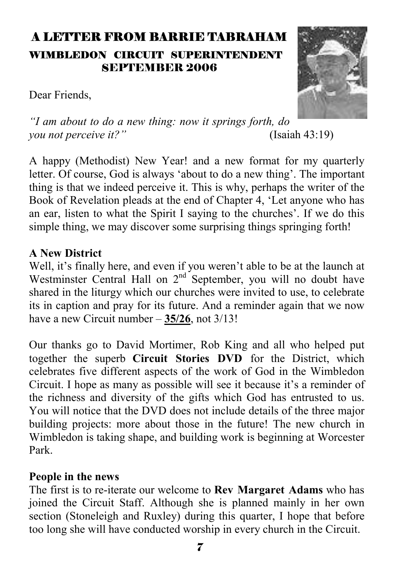# A LETTER FROM BARRIE TABRAHAM WIMBLEDON CIRCUIT SUPERINTENDENT SEPTEMBER 2006

Dear Friends,



*"I am about to do a new thing: now it springs forth, do you not perceive it?"* (Isaiah 43:19)

A happy (Methodist) New Year! and a new format for my quarterly letter. Of course, God is always 'about to do a new thing'. The important thing is that we indeed perceive it. This is why, perhaps the writer of the Book of Revelation pleads at the end of Chapter 4, 'Let anyone who has an ear, listen to what the Spirit I saying to the churches'. If we do this simple thing, we may discover some surprising things springing forth!

#### **A New District**

Well, it's finally here, and even if you weren't able to be at the launch at Westminster Central Hall on 2<sup>nd</sup> September, you will no doubt have shared in the liturgy which our churches were invited to use, to celebrate its in caption and pray for its future. And a reminder again that we now have a new Circuit number – **35/26**, not 3/13!

Our thanks go to David Mortimer, Rob King and all who helped put together the superb **Circuit Stories DVD** for the District, which celebrates five different aspects of the work of God in the Wimbledon Circuit. I hope as many as possible will see it because it's a reminder of the richness and diversity of the gifts which God has entrusted to us. You will notice that the DVD does not include details of the three major building projects: more about those in the future! The new church in Wimbledon is taking shape, and building work is beginning at Worcester Park.

#### **People in the news**

The first is to re-iterate our welcome to **Rev Margaret Adams** who has joined the Circuit Staff. Although she is planned mainly in her own section (Stoneleigh and Ruxley) during this quarter, I hope that before too long she will have conducted worship in every church in the Circuit.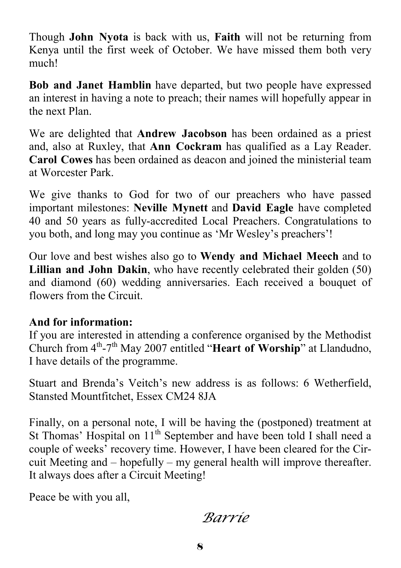Though **John Nyota** is back with us, **Faith** will not be returning from Kenya until the first week of October. We have missed them both very much!

**Bob and Janet Hamblin** have departed, but two people have expressed an interest in having a note to preach; their names will hopefully appear in the next Plan.

We are delighted that **Andrew Jacobson** has been ordained as a priest and, also at Ruxley, that **Ann Cockram** has qualified as a Lay Reader. **Carol Cowes** has been ordained as deacon and joined the ministerial team at Worcester Park.

We give thanks to God for two of our preachers who have passed important milestones: **Neville Mynett** and **David Eagle** have completed 40 and 50 years as fully-accredited Local Preachers. Congratulations to you both, and long may you continue as 'Mr Wesley's preachers'!

Our love and best wishes also go to **Wendy and Michael Meech** and to **Lillian and John Dakin**, who have recently celebrated their golden (50) and diamond (60) wedding anniversaries. Each received a bouquet of flowers from the Circuit.

#### **And for information:**

If you are interested in attending a conference organised by the Methodist Church from 4<sup>th</sup>-7<sup>th</sup> May 2007 entitled "Heart of Worship" at Llandudno, I have details of the programme.

Stuart and Brenda's Veitch's new address is as follows: 6 Wetherfield, Stansted Mountfitchet, Essex CM24 8JA

Finally, on a personal note, I will be having the (postponed) treatment at St Thomas' Hospital on 11<sup>th</sup> September and have been told I shall need a couple of weeks' recovery time. However, I have been cleared for the Circuit Meeting and – hopefully – my general health will improve thereafter. It always does after a Circuit Meeting!

Peace be with you all,

*Barrie*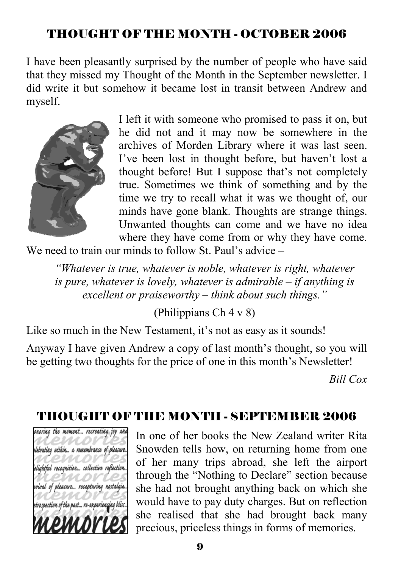# THOUGHT OF THE MONTH - OCTOBER 2006

I have been pleasantly surprised by the number of people who have said that they missed my Thought of the Month in the September newsletter. I did write it but somehow it became lost in transit between Andrew and myself.



I left it with someone who promised to pass it on, but he did not and it may now be somewhere in the archives of Morden Library where it was last seen. I've been lost in thought before, but haven't lost a thought before! But I suppose that's not completely true. Sometimes we think of something and by the time we try to recall what it was we thought of, our minds have gone blank. Thoughts are strange things. Unwanted thoughts can come and we have no idea where they have come from or why they have come.

We need to train our minds to follow St. Paul's advice –

*"Whatever is true, whatever is noble, whatever is right, whatever is pure, whatever is lovely, whatever is admirable – if anything is excellent or praiseworthy – think about such things."* 

(Philippians Ch 4 v 8)

Like so much in the New Testament, it's not as easy as it sounds!

Anyway I have given Andrew a copy of last month's thought, so you will be getting two thoughts for the price of one in this month's Newsletter!

*Bill Cox* 

# THOUGHT OF THE MONTH - SEPTEMBER 2006



In one of her books the New Zealand writer Rita Snowden tells how, on returning home from one of her many trips abroad, she left the airport through the "Nothing to Declare" section because she had not brought anything back on which she would have to pay duty charges. But on reflection she realised that she had brought back many precious, priceless things in forms of memories.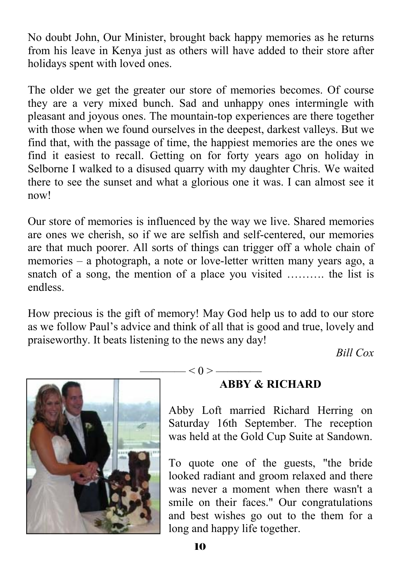No doubt John, Our Minister, brought back happy memories as he returns from his leave in Kenya just as others will have added to their store after holidays spent with loved ones.

The older we get the greater our store of memories becomes. Of course they are a very mixed bunch. Sad and unhappy ones intermingle with pleasant and joyous ones. The mountain-top experiences are there together with those when we found ourselves in the deepest, darkest valleys. But we find that, with the passage of time, the happiest memories are the ones we find it easiest to recall. Getting on for forty years ago on holiday in Selborne I walked to a disused quarry with my daughter Chris. We waited there to see the sunset and what a glorious one it was. I can almost see it now!

Our store of memories is influenced by the way we live. Shared memories are ones we cherish, so if we are selfish and self-centered, our memories are that much poorer. All sorts of things can trigger off a whole chain of memories – a photograph, a note or love-letter written many years ago, a snatch of a song, the mention of a place you visited ………. the list is endless.

How precious is the gift of memory! May God help us to add to our store as we follow Paul's advice and think of all that is good and true, lovely and praiseworthy. It beats listening to the news any day!

 $- < 0 >$  ——

*Bill Cox* 



#### **ABBY & RICHARD**

Abby Loft married Richard Herring on Saturday 16th September. The reception was held at the Gold Cup Suite at Sandown.

To quote one of the guests, "the bride looked radiant and groom relaxed and there was never a moment when there wasn't a smile on their faces." Our congratulations and best wishes go out to the them for a long and happy life together.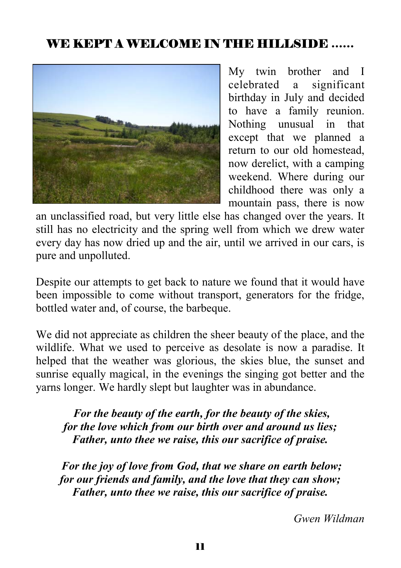# WE KEPT A WELCOME IN THE HILLSIDE ……



My twin brother and I celebrated a significant birthday in July and decided to have a family reunion. Nothing unusual in that except that we planned a return to our old homestead, now derelict, with a camping weekend. Where during our childhood there was only a mountain pass, there is now

an unclassified road, but very little else has changed over the years. It still has no electricity and the spring well from which we drew water every day has now dried up and the air, until we arrived in our cars, is pure and unpolluted.

Despite our attempts to get back to nature we found that it would have been impossible to come without transport, generators for the fridge, bottled water and, of course, the barbeque.

We did not appreciate as children the sheer beauty of the place, and the wildlife. What we used to perceive as desolate is now a paradise. It helped that the weather was glorious, the skies blue, the sunset and sunrise equally magical, in the evenings the singing got better and the yarns longer. We hardly slept but laughter was in abundance.

*For the beauty of the earth, for the beauty of the skies, for the love which from our birth over and around us lies; Father, unto thee we raise, this our sacrifice of praise.* 

*For the joy of love from God, that we share on earth below; for our friends and family, and the love that they can show; Father, unto thee we raise, this our sacrifice of praise.* 

*Gwen Wildman*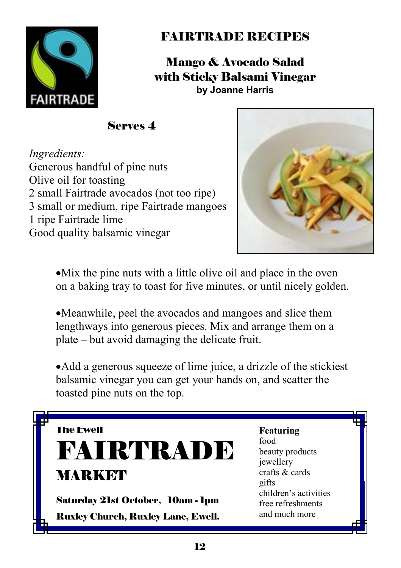

# FAIRTRADE RECIPES

Mango & Avocado Salad with Sticky Balsami Vinegar **by Joanne Harris**

Serves 4

*Ingredients:* Generous handful of pine nuts Olive oil for toasting 2 small Fairtrade avocados (not too ripe) 3 small or medium, ripe Fairtrade mangoes 1 ripe Fairtrade lime Good quality balsamic vinegar



•Mix the pine nuts with a little olive oil and place in the oven on a baking tray to toast for five minutes, or until nicely golden.

•Meanwhile, peel the avocados and mangoes and slice them lengthways into generous pieces. Mix and arrange them on a plate – but avoid damaging the delicate fruit.

•Add a generous squeeze of lime juice, a drizzle of the stickiest balsamic vinegar you can get your hands on, and scatter the toasted pine nuts on the top.

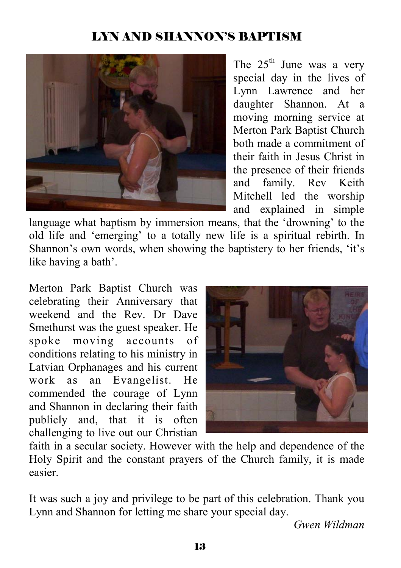## LYN AND SHANNON'S BAPTISM



The  $25<sup>th</sup>$  June was a very special day in the lives of Lynn Lawrence and her daughter Shannon. At a moving morning service at Merton Park Baptist Church both made a commitment of their faith in Jesus Christ in the presence of their friends and family. Rev Keith Mitchell led the worship and explained in simple

language what baptism by immersion means, that the 'drowning' to the old life and 'emerging' to a totally new life is a spiritual rebirth. In Shannon's own words, when showing the baptistery to her friends, 'it's like having a bath'.

Merton Park Baptist Church was celebrating their Anniversary that weekend and the Rev. Dr Dave Smethurst was the guest speaker. He spoke moving accounts of conditions relating to his ministry in Latvian Orphanages and his current work as an Evangelist. He commended the courage of Lynn and Shannon in declaring their faith publicly and, that it is often challenging to live out our Christian



faith in a secular society. However with the help and dependence of the Holy Spirit and the constant prayers of the Church family, it is made easier.

It was such a joy and privilege to be part of this celebration. Thank you Lynn and Shannon for letting me share your special day.

*Gwen Wildman*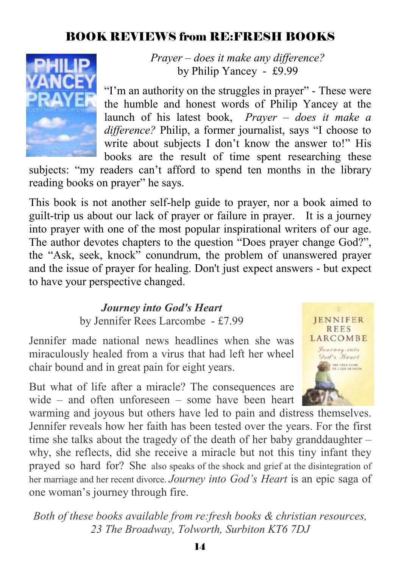### BOOK REVIEWS from RE:FRESH BOOKS



*Prayer – does it make any difference?* by Philip Yancey - £9.99

"I'm an authority on the struggles in prayer" - These were the humble and honest words of Philip Yancey at the launch of his latest book, *Prayer – does it make a difference?* Philip, a former journalist, says "I choose to write about subjects I don't know the answer to!" His books are the result of time spent researching these

subjects: "my readers can't afford to spend ten months in the library reading books on prayer" he says.

This book is not another self-help guide to prayer, nor a book aimed to guilt-trip us about our lack of prayer or failure in prayer. It is a journey into prayer with one of the most popular inspirational writers of our age. The author devotes chapters to the question "Does prayer change God?", the "Ask, seek, knock" conundrum, the problem of unanswered prayer and the issue of prayer for healing. Don't just expect answers - but expect to have your perspective changed.

> *Journey into God's Heart* by Jennifer Rees Larcombe - £7.99

Jennifer made national news headlines when she was miraculously healed from a virus that had left her wheel chair bound and in great pain for eight years.

But what of life after a miracle? The consequences are wide – and often unforeseen – some have been heart



warming and joyous but others have led to pain and distress themselves. Jennifer reveals how her faith has been tested over the years. For the first time she talks about the tragedy of the death of her baby granddaughter – why, she reflects, did she receive a miracle but not this tiny infant they prayed so hard for? She also speaks of the shock and grief at the disintegration of her marriage and her recent divorce. *Journey into God's Heart* is an epic saga of one woman's journey through fire.

*Both of these books available from re:fresh books & christian resources, 23 The Broadway, Tolworth, Surbiton KT6 7DJ*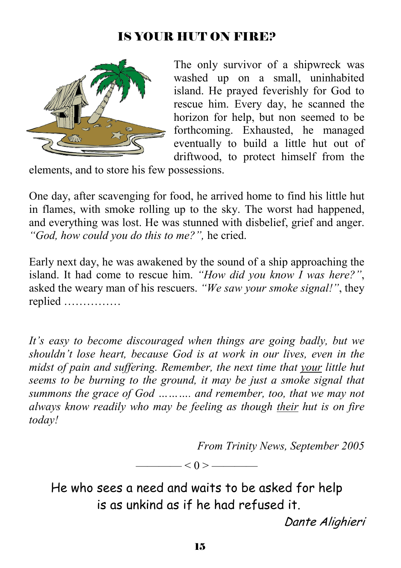### IS YOUR HUT ON FIRE?



The only survivor of a shipwreck was washed up on a small, uninhabited island. He prayed feverishly for God to rescue him. Every day, he scanned the horizon for help, but non seemed to be forthcoming. Exhausted, he managed eventually to build a little hut out of driftwood, to protect himself from the

elements, and to store his few possessions.

One day, after scavenging for food, he arrived home to find his little hut in flames, with smoke rolling up to the sky. The worst had happened, and everything was lost. He was stunned with disbelief, grief and anger. *"God, how could you do this to me?",* he cried.

Early next day, he was awakened by the sound of a ship approaching the island. It had come to rescue him. *"How did you know I was here?"*, asked the weary man of his rescuers. *"We saw your smoke signal!"*, they replied ……………

*It's easy to become discouraged when things are going badly, but we shouldn't lose heart, because God is at work in our lives, even in the midst of pain and suffering. Remember, the next time that your little hut seems to be burning to the ground, it may be just a smoke signal that summons the grace of God ………. and remember, too, that we may not always know readily who may be feeling as though their hut is on fire today!* 

*From Trinity News, September 2005* 

 $-$  < 0 > —

He who sees a need and waits to be asked for help is as unkind as if he had refused it.

Dante Alighieri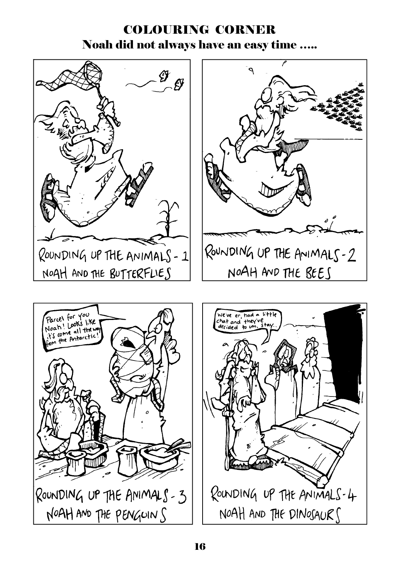## COLOURING CORNER Noah did not always have an easy time …..





ROUNDING UP THE ANIMALS-2

NOAH AND THE BEES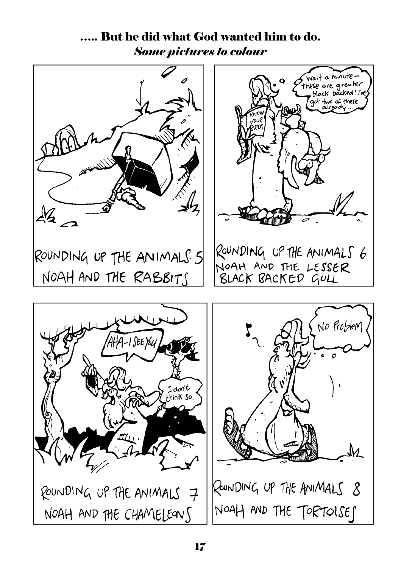# ….. But he did what God wanted him to do. *Some pictures to colour*

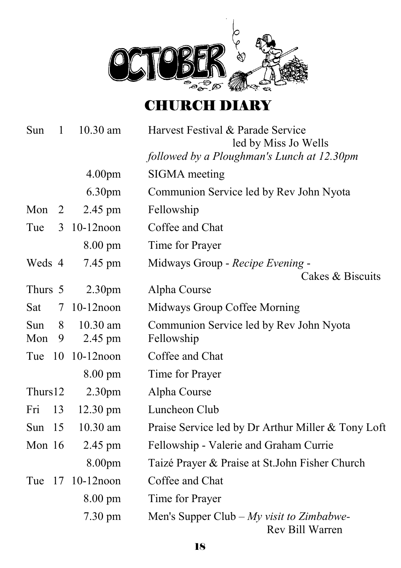

# CHURCH DIARY

| Sun        | $\mathbf{1}$ | $10.30$ am            | Harvest Festival & Parade Service<br>led by Miss Jo Wells     |
|------------|--------------|-----------------------|---------------------------------------------------------------|
|            |              |                       | followed by a Ploughman's Lunch at 12.30pm                    |
|            |              | 4.00 <sub>pm</sub>    | SIGMA meeting                                                 |
|            |              | 6.30pm                | Communion Service led by Rev John Nyota                       |
| Mon        | 2            | 2.45 pm               | Fellowship                                                    |
| Tue        | 3            | $10-12$ noon          | Coffee and Chat                                               |
|            |              | $8.00 \text{ pm}$     | Time for Prayer                                               |
| Weds 4     |              | 7.45 pm               | Midways Group - Recipe Evening -<br>Cakes & Biscuits          |
| Thurs 5    |              | 2.30 <sub>pm</sub>    | Alpha Course                                                  |
| Sat        | 7            | $10-12$ noon          | Midways Group Coffee Morning                                  |
| Sun<br>Mon | 8<br>9       | $10.30$ am<br>2.45 pm | Communion Service led by Rev John Nyota<br>Fellowship         |
| Tue        | - 10         | $10-12$ noon          | Coffee and Chat                                               |
|            |              | $8.00 \text{ pm}$     | Time for Prayer                                               |
| Thurs12    |              | 2.30 <sub>pm</sub>    | Alpha Course                                                  |
| Fri        | 13           | $12.30 \text{ pm}$    | Luncheon Club                                                 |
| Sun $15$   |              | 10.30 am              | Praise Service led by Dr Arthur Miller & Tony Loft            |
| Mon $16$   |              | 2.45 pm               | Fellowship - Valerie and Graham Currie                        |
|            |              | 8.00 <sub>pm</sub>    | Taizé Prayer & Praise at St.John Fisher Church                |
| Tue        | 17           | $10-12$ noon          | Coffee and Chat                                               |
|            |              | $8.00 \text{ pm}$     | Time for Prayer                                               |
|            |              | $7.30 \text{ pm}$     | Men's Supper Club $-My$ visit to Zimbabwe-<br>Rev Bill Warren |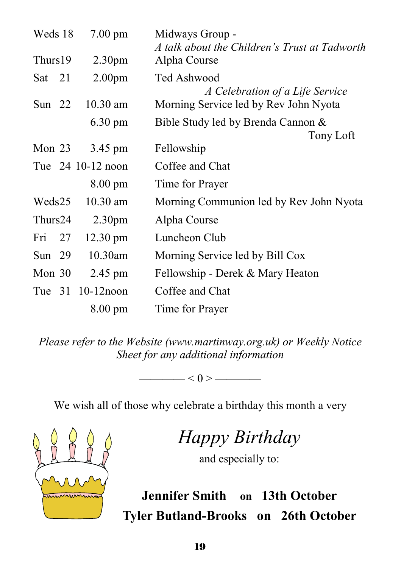| Weds 18  |  | $7.00 \text{ pm}$  | Midways Group -<br>A talk about the Children's Trust at Tadworth |
|----------|--|--------------------|------------------------------------------------------------------|
| Thurs19  |  | 2.30 <sub>pm</sub> | Alpha Course                                                     |
| Sat 21   |  | 2.00 <sub>pm</sub> | Ted Ashwood<br>A Celebration of a Life Service                   |
| Sun $22$ |  | $10.30$ am         | Morning Service led by Rev John Nyota                            |
|          |  | $6.30 \text{ pm}$  | Bible Study led by Brenda Cannon &<br>Tony Loft                  |
| Mon $23$ |  | 3.45 pm            | Fellowship                                                       |
|          |  | Tue 24 10-12 noon  | Coffee and Chat                                                  |
|          |  | 8.00 pm            | Time for Prayer                                                  |
| Weds25   |  | $10.30$ am         | Morning Communion led by Rev John Nyota                          |
| Thurs24  |  | 2.30 <sub>pm</sub> | Alpha Course                                                     |
| Fri 27   |  | 12.30 pm           | Luncheon Club                                                    |
| Sun $29$ |  | $10.30$ am         | Morning Service led by Bill Cox                                  |
| Mon $30$ |  | 2.45 pm            | Fellowship - Derek & Mary Heaton                                 |
|          |  | Tue 31 10-12 noon  | Coffee and Chat                                                  |
|          |  | $8.00 \text{ pm}$  | Time for Prayer                                                  |

*Please refer to the Website (www.martinway.org.uk) or Weekly Notice Sheet for any additional information* 

———— < 0 > ————

We wish all of those why celebrate a birthday this month a very



*Happy Birthday* 

and especially to:

**Jennifer Smith on 13th October Tyler Butland-Brooks on 26th October**